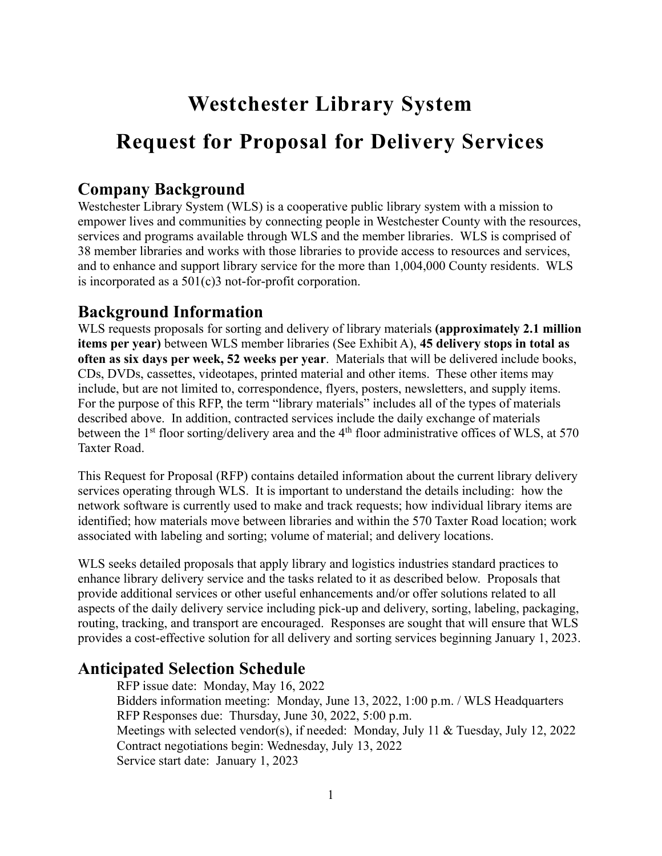# **Westchester Library System**

# **Request for Proposal for Delivery Services**

### **Company Background**

Westchester Library System (WLS) is a cooperative public library system with a mission to empower lives and communities by connecting people in Westchester County with the resources, services and programs available through WLS and the member libraries. WLS is comprised of 38 member libraries and works with those libraries to provide access to resources and services, and to enhance and support library service for the more than 1,004,000 County residents. WLS is incorporated as a 501(c)3 not-for-profit corporation.

## **Background Information**

WLS requests proposals for sorting and delivery of library materials **(approximately 2.1 million items per year)** between WLS member libraries (See Exhibit A), **45 delivery stops in total as often as six days per week, 52 weeks per year**. Materials that will be delivered include books, CDs, DVDs, cassettes, videotapes, printed material and other items. These other items may include, but are not limited to, correspondence, flyers, posters, newsletters, and supply items. For the purpose of this RFP, the term "library materials" includes all of the types of materials described above. In addition, contracted services include the daily exchange of materials between the 1<sup>st</sup> floor sorting/delivery area and the 4<sup>th</sup> floor administrative offices of WLS, at 570 Taxter Road.

This Request for Proposal (RFP) contains detailed information about the current library delivery services operating through WLS. It is important to understand the details including: how the network software is currently used to make and track requests; how individual library items are identified; how materials move between libraries and within the 570 Taxter Road location; work associated with labeling and sorting; volume of material; and delivery locations.

WLS seeks detailed proposals that apply library and logistics industries standard practices to enhance library delivery service and the tasks related to it as described below. Proposals that provide additional services or other useful enhancements and/or offer solutions related to all aspects of the daily delivery service including pick-up and delivery, sorting, labeling, packaging, routing, tracking, and transport are encouraged. Responses are sought that will ensure that WLS provides a cost-effective solution for all delivery and sorting services beginning January 1, 2023.

## **Anticipated Selection Schedule**

RFP issue date: Monday, May 16, 2022 Bidders information meeting: Monday, June 13, 2022, 1:00 p.m. / WLS Headquarters RFP Responses due: Thursday, June 30, 2022, 5:00 p.m. Meetings with selected vendor(s), if needed: Monday, July 11 & Tuesday, July 12, 2022 Contract negotiations begin: Wednesday, July 13, 2022 Service start date: January 1, 2023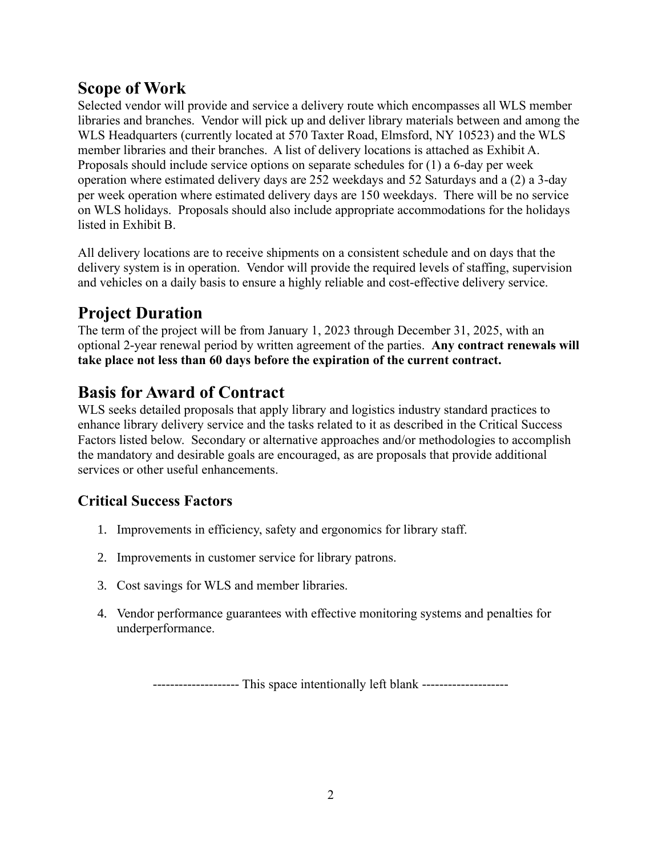## **Scope of Work**

Selected vendor will provide and service a delivery route which encompasses all WLS member libraries and branches. Vendor will pick up and deliver library materials between and among the WLS Headquarters (currently located at 570 Taxter Road, Elmsford, NY 10523) and the WLS member libraries and their branches. A list of delivery locations is attached as Exhibit A. Proposals should include service options on separate schedules for (1) a 6-day per week operation where estimated delivery days are 252 weekdays and 52 Saturdays and a (2) a 3-day per week operation where estimated delivery days are 150 weekdays. There will be no service on WLS holidays. Proposals should also include appropriate accommodations for the holidays listed in Exhibit B.

All delivery locations are to receive shipments on a consistent schedule and on days that the delivery system is in operation. Vendor will provide the required levels of staffing, supervision and vehicles on a daily basis to ensure a highly reliable and cost-effective delivery service.

## **Project Duration**

The term of the project will be from January 1, 2023 through December 31, 2025, with an optional 2-year renewal period by written agreement of the parties. **Any contract renewals will take place not less than 60 days before the expiration of the current contract.**

## **Basis for Award of Contract**

WLS seeks detailed proposals that apply library and logistics industry standard practices to enhance library delivery service and the tasks related to it as described in the Critical Success Factors listed below. Secondary or alternative approaches and/or methodologies to accomplish the mandatory and desirable goals are encouraged, as are proposals that provide additional services or other useful enhancements.

## **Critical Success Factors**

- 1. Improvements in efficiency, safety and ergonomics for library staff.
- 2. Improvements in customer service for library patrons.
- 3. Cost savings for WLS and member libraries.
- 4. Vendor performance guarantees with effective monitoring systems and penalties for underperformance.

-------------------- This space intentionally left blank --------------------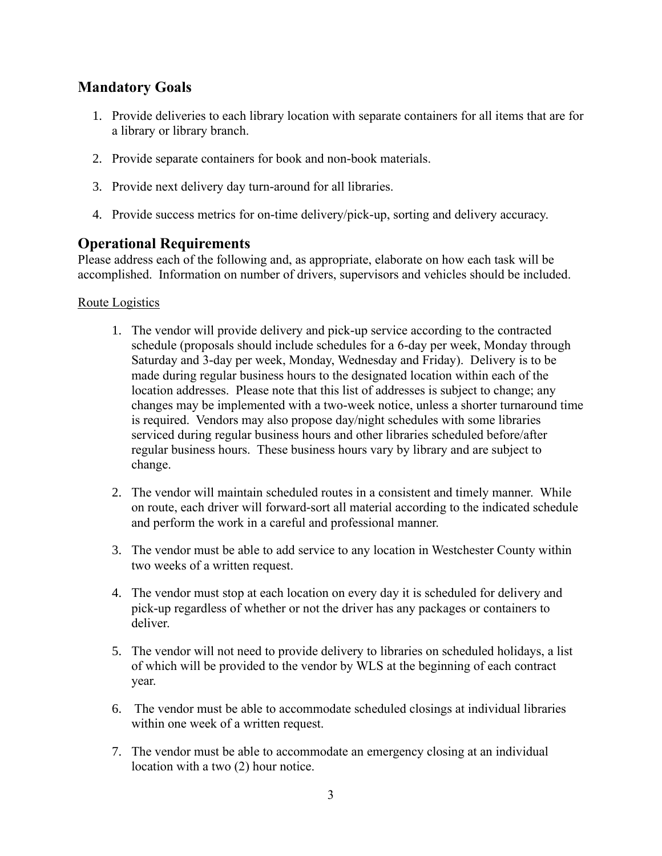## **Mandatory Goals**

- 1. Provide deliveries to each library location with separate containers for all items that are for a library or library branch.
- 2. Provide separate containers for book and non-book materials.
- 3. Provide next delivery day turn-around for all libraries.
- 4. Provide success metrics for on-time delivery/pick-up, sorting and delivery accuracy.

## **Operational Requirements**

Please address each of the following and, as appropriate, elaborate on how each task will be accomplished. Information on number of drivers, supervisors and vehicles should be included.

#### Route Logistics

- 1. The vendor will provide delivery and pick-up service according to the contracted schedule (proposals should include schedules for a 6-day per week, Monday through Saturday and 3-day per week, Monday, Wednesday and Friday). Delivery is to be made during regular business hours to the designated location within each of the location addresses. Please note that this list of addresses is subject to change; any changes may be implemented with a two-week notice, unless a shorter turnaround time is required. Vendors may also propose day/night schedules with some libraries serviced during regular business hours and other libraries scheduled before/after regular business hours. These business hours vary by library and are subject to change.
- 2. The vendor will maintain scheduled routes in a consistent and timely manner. While on route, each driver will forward-sort all material according to the indicated schedule and perform the work in a careful and professional manner.
- 3. The vendor must be able to add service to any location in Westchester County within two weeks of a written request.
- 4. The vendor must stop at each location on every day it is scheduled for delivery and pick-up regardless of whether or not the driver has any packages or containers to deliver.
- 5. The vendor will not need to provide delivery to libraries on scheduled holidays, a list of which will be provided to the vendor by WLS at the beginning of each contract year.
- 6. The vendor must be able to accommodate scheduled closings at individual libraries within one week of a written request.
- 7. The vendor must be able to accommodate an emergency closing at an individual location with a two (2) hour notice.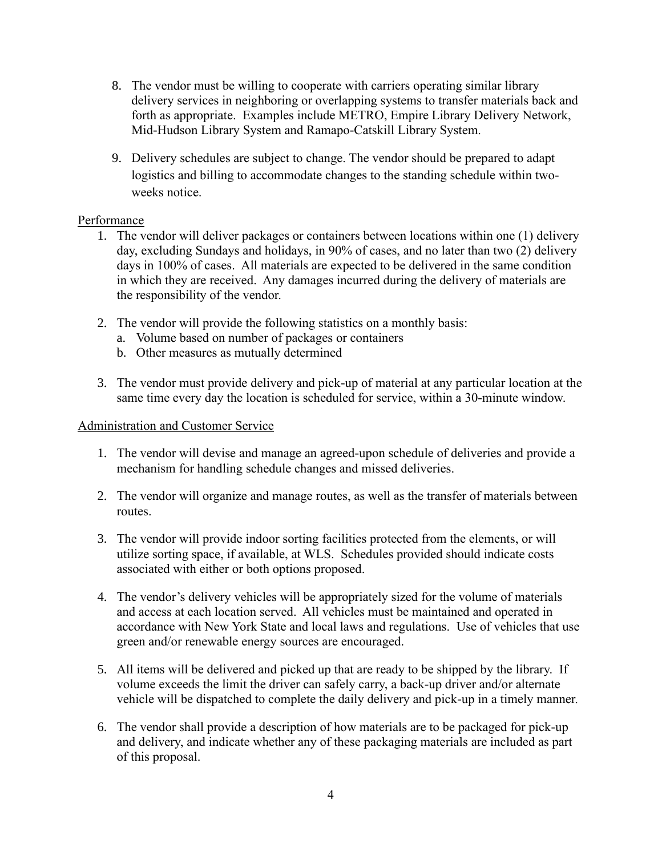- 8. The vendor must be willing to cooperate with carriers operating similar library delivery services in neighboring or overlapping systems to transfer materials back and forth as appropriate. Examples include METRO, Empire Library Delivery Network, Mid-Hudson Library System and Ramapo-Catskill Library System.
- 9. Delivery schedules are subject to change. The vendor should be prepared to adapt logistics and billing to accommodate changes to the standing schedule within twoweeks notice.

#### Performance

- 1. The vendor will deliver packages or containers between locations within one (1) delivery day, excluding Sundays and holidays, in 90% of cases, and no later than two (2) delivery days in 100% of cases. All materials are expected to be delivered in the same condition in which they are received. Any damages incurred during the delivery of materials are the responsibility of the vendor.
- 2. The vendor will provide the following statistics on a monthly basis:
	- a. Volume based on number of packages or containers
	- b. Other measures as mutually determined
- 3. The vendor must provide delivery and pick-up of material at any particular location at the same time every day the location is scheduled for service, within a 30-minute window.

#### Administration and Customer Service

- 1. The vendor will devise and manage an agreed-upon schedule of deliveries and provide a mechanism for handling schedule changes and missed deliveries.
- 2. The vendor will organize and manage routes, as well as the transfer of materials between routes.
- 3. The vendor will provide indoor sorting facilities protected from the elements, or will utilize sorting space, if available, at WLS. Schedules provided should indicate costs associated with either or both options proposed.
- 4. The vendor's delivery vehicles will be appropriately sized for the volume of materials and access at each location served. All vehicles must be maintained and operated in accordance with New York State and local laws and regulations. Use of vehicles that use green and/or renewable energy sources are encouraged.
- 5. All items will be delivered and picked up that are ready to be shipped by the library. If volume exceeds the limit the driver can safely carry, a back-up driver and/or alternate vehicle will be dispatched to complete the daily delivery and pick-up in a timely manner.
- 6. The vendor shall provide a description of how materials are to be packaged for pick-up and delivery, and indicate whether any of these packaging materials are included as part of this proposal.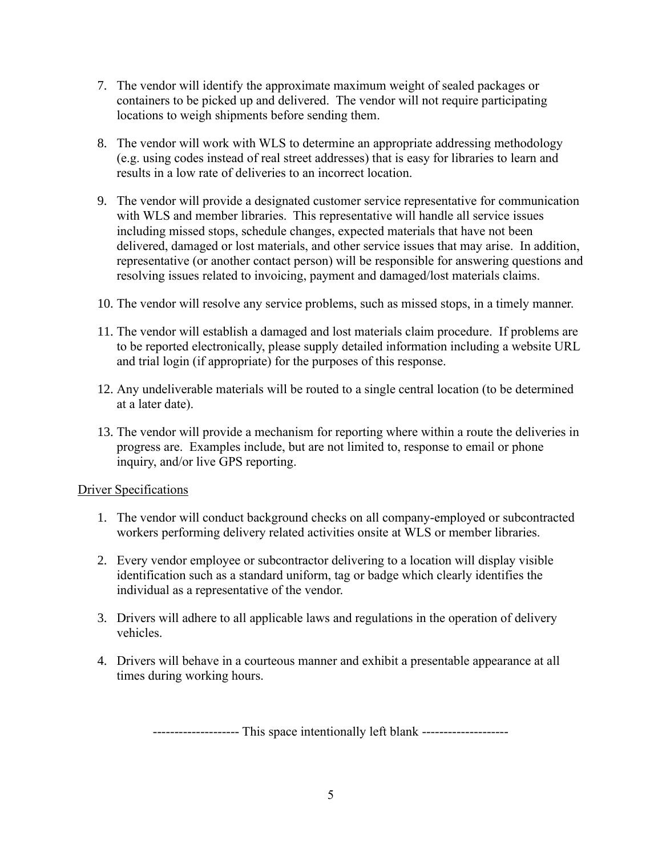- 7. The vendor will identify the approximate maximum weight of sealed packages or containers to be picked up and delivered. The vendor will not require participating locations to weigh shipments before sending them.
- 8. The vendor will work with WLS to determine an appropriate addressing methodology (e.g. using codes instead of real street addresses) that is easy for libraries to learn and results in a low rate of deliveries to an incorrect location.
- 9. The vendor will provide a designated customer service representative for communication with WLS and member libraries. This representative will handle all service issues including missed stops, schedule changes, expected materials that have not been delivered, damaged or lost materials, and other service issues that may arise. In addition, representative (or another contact person) will be responsible for answering questions and resolving issues related to invoicing, payment and damaged/lost materials claims.
- 10. The vendor will resolve any service problems, such as missed stops, in a timely manner.
- 11. The vendor will establish a damaged and lost materials claim procedure. If problems are to be reported electronically, please supply detailed information including a website URL and trial login (if appropriate) for the purposes of this response.
- 12. Any undeliverable materials will be routed to a single central location (to be determined at a later date).
- 13. The vendor will provide a mechanism for reporting where within a route the deliveries in progress are. Examples include, but are not limited to, response to email or phone inquiry, and/or live GPS reporting.

#### Driver Specifications

- 1. The vendor will conduct background checks on all company-employed or subcontracted workers performing delivery related activities onsite at WLS or member libraries.
- 2. Every vendor employee or subcontractor delivering to a location will display visible identification such as a standard uniform, tag or badge which clearly identifies the individual as a representative of the vendor.
- 3. Drivers will adhere to all applicable laws and regulations in the operation of delivery vehicles.
- 4. Drivers will behave in a courteous manner and exhibit a presentable appearance at all times during working hours.

-------------------- This space intentionally left blank --------------------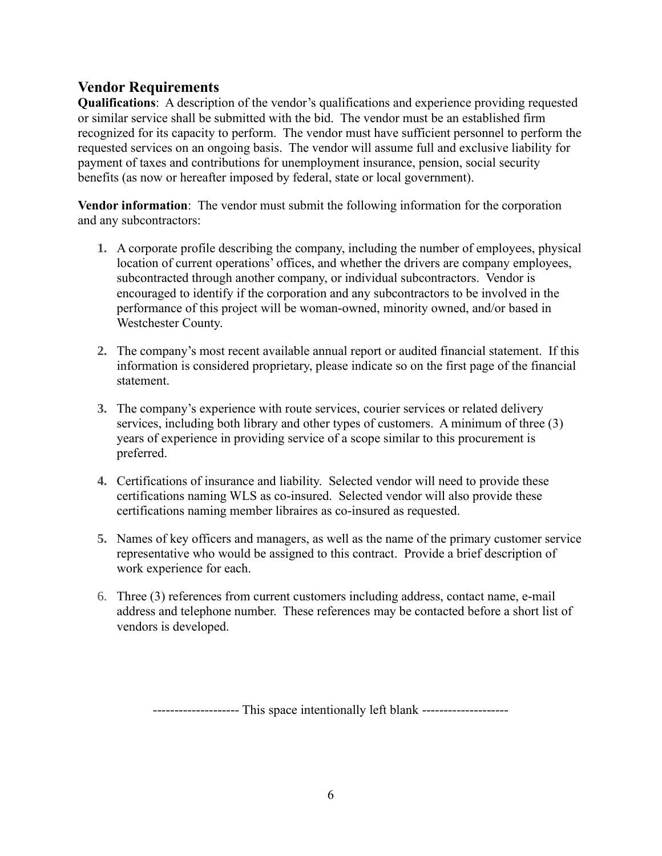### **Vendor Requirements**

**Qualifications**: A description of the vendor's qualifications and experience providing requested or similar service shall be submitted with the bid. The vendor must be an established firm recognized for its capacity to perform. The vendor must have sufficient personnel to perform the requested services on an ongoing basis. The vendor will assume full and exclusive liability for payment of taxes and contributions for unemployment insurance, pension, social security benefits (as now or hereafter imposed by federal, state or local government).

**Vendor information**: The vendor must submit the following information for the corporation and any subcontractors:

- **1.** A corporate profile describing the company, including the number of employees, physical location of current operations' offices, and whether the drivers are company employees, subcontracted through another company, or individual subcontractors. Vendor is encouraged to identify if the corporation and any subcontractors to be involved in the performance of this project will be woman-owned, minority owned, and/or based in Westchester County.
- **2.** The company's most recent available annual report or audited financial statement. If this information is considered proprietary, please indicate so on the first page of the financial statement.
- **3.** The company's experience with route services, courier services or related delivery services, including both library and other types of customers. A minimum of three (3) years of experience in providing service of a scope similar to this procurement is preferred.
- **4.** Certifications of insurance and liability. Selected vendor will need to provide these certifications naming WLS as co-insured. Selected vendor will also provide these certifications naming member libraires as co-insured as requested.
- **5.** Names of key officers and managers, as well as the name of the primary customer service representative who would be assigned to this contract. Provide a brief description of work experience for each.
- 6. Three (3) references from current customers including address, contact name, e-mail address and telephone number. These references may be contacted before a short list of vendors is developed.

--------------------- This space intentionally left blank ---------------------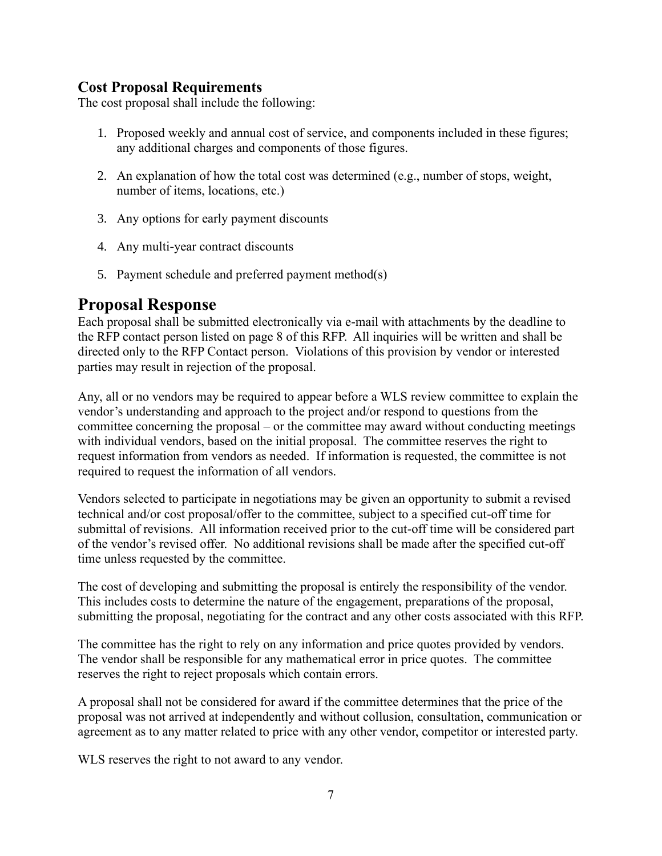## **Cost Proposal Requirements**

The cost proposal shall include the following:

- 1. Proposed weekly and annual cost of service, and components included in these figures; any additional charges and components of those figures.
- 2. An explanation of how the total cost was determined (e.g., number of stops, weight, number of items, locations, etc.)
- 3. Any options for early payment discounts
- 4. Any multi-year contract discounts
- 5. Payment schedule and preferred payment method(s)

## **Proposal Response**

Each proposal shall be submitted electronically via e-mail with attachments by the deadline to the RFP contact person listed on page 8 of this RFP. All inquiries will be written and shall be directed only to the RFP Contact person. Violations of this provision by vendor or interested parties may result in rejection of the proposal.

Any, all or no vendors may be required to appear before a WLS review committee to explain the vendor's understanding and approach to the project and/or respond to questions from the committee concerning the proposal – or the committee may award without conducting meetings with individual vendors, based on the initial proposal. The committee reserves the right to request information from vendors as needed. If information is requested, the committee is not required to request the information of all vendors.

Vendors selected to participate in negotiations may be given an opportunity to submit a revised technical and/or cost proposal/offer to the committee, subject to a specified cut-off time for submittal of revisions. All information received prior to the cut-off time will be considered part of the vendor's revised offer. No additional revisions shall be made after the specified cut-off time unless requested by the committee.

The cost of developing and submitting the proposal is entirely the responsibility of the vendor. This includes costs to determine the nature of the engagement, preparations of the proposal, submitting the proposal, negotiating for the contract and any other costs associated with this RFP.

The committee has the right to rely on any information and price quotes provided by vendors. The vendor shall be responsible for any mathematical error in price quotes. The committee reserves the right to reject proposals which contain errors.

A proposal shall not be considered for award if the committee determines that the price of the proposal was not arrived at independently and without collusion, consultation, communication or agreement as to any matter related to price with any other vendor, competitor or interested party.

WLS reserves the right to not award to any vendor.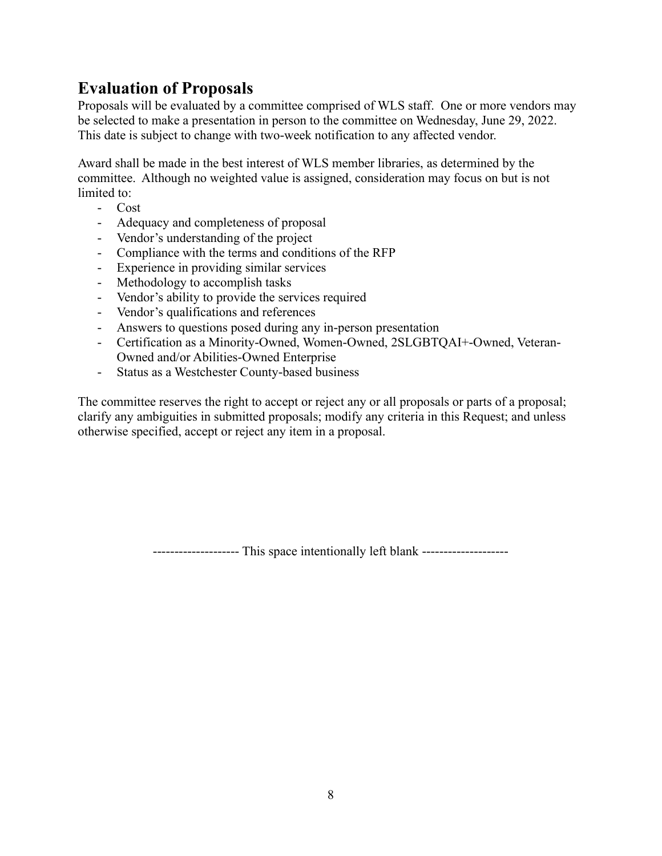## **Evaluation of Proposals**

Proposals will be evaluated by a committee comprised of WLS staff. One or more vendors may be selected to make a presentation in person to the committee on Wednesday, June 29, 2022. This date is subject to change with two-week notification to any affected vendor.

Award shall be made in the best interest of WLS member libraries, as determined by the committee. Although no weighted value is assigned, consideration may focus on but is not limited to:

- Cost
- Adequacy and completeness of proposal
- Vendor's understanding of the project
- Compliance with the terms and conditions of the RFP
- Experience in providing similar services
- Methodology to accomplish tasks
- Vendor's ability to provide the services required
- Vendor's qualifications and references
- Answers to questions posed during any in-person presentation
- Certification as a Minority-Owned, Women-Owned, 2SLGBTQAI+-Owned, Veteran-Owned and/or Abilities-Owned Enterprise
- Status as a Westchester County-based business

The committee reserves the right to accept or reject any or all proposals or parts of a proposal; clarify any ambiguities in submitted proposals; modify any criteria in this Request; and unless otherwise specified, accept or reject any item in a proposal.

-------------------- This space intentionally left blank --------------------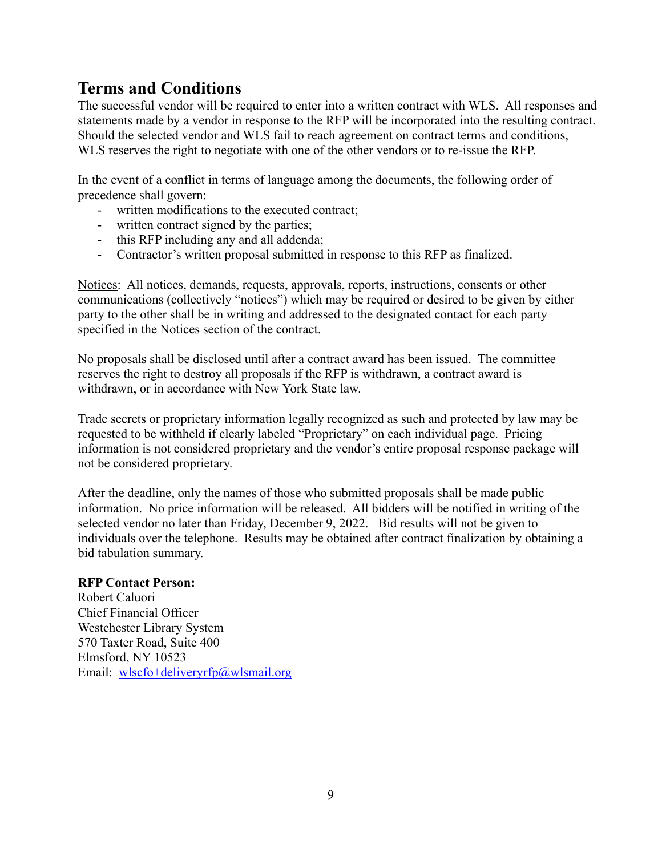## **Terms and Conditions**

The successful vendor will be required to enter into a written contract with WLS. All responses and statements made by a vendor in response to the RFP will be incorporated into the resulting contract. Should the selected vendor and WLS fail to reach agreement on contract terms and conditions, WLS reserves the right to negotiate with one of the other vendors or to re-issue the RFP.

In the event of a conflict in terms of language among the documents, the following order of precedence shall govern:

- written modifications to the executed contract;
- written contract signed by the parties;
- this RFP including any and all addenda;
- Contractor's written proposal submitted in response to this RFP as finalized.

Notices: All notices, demands, requests, approvals, reports, instructions, consents or other communications (collectively "notices") which may be required or desired to be given by either party to the other shall be in writing and addressed to the designated contact for each party specified in the Notices section of the contract.

No proposals shall be disclosed until after a contract award has been issued. The committee reserves the right to destroy all proposals if the RFP is withdrawn, a contract award is withdrawn, or in accordance with New York State law.

Trade secrets or proprietary information legally recognized as such and protected by law may be requested to be withheld if clearly labeled "Proprietary" on each individual page. Pricing information is not considered proprietary and the vendor's entire proposal response package will not be considered proprietary.

After the deadline, only the names of those who submitted proposals shall be made public information. No price information will be released. All bidders will be notified in writing of the selected vendor no later than Friday, December 9, 2022. Bid results will not be given to individuals over the telephone. Results may be obtained after contract finalization by obtaining a bid tabulation summary.

#### **RFP Contact Person:**

Robert Caluori Chief Financial Officer Westchester Library System 570 Taxter Road, Suite 400 Elmsford, NY 10523 Email: [wlscfo+deliveryrfp@wlsmail.org](mailto:wlscfo+deliveryrfp@wlsmail.org)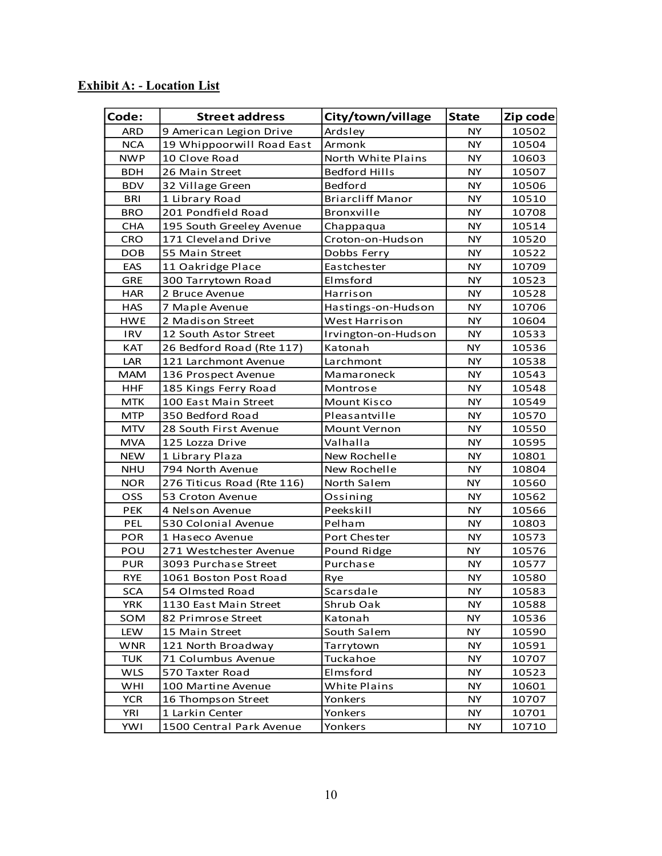| <b>Exhibit A: - Location List</b> |
|-----------------------------------|
|-----------------------------------|

| Code:      | <b>Street address</b>      | City/town/village       | <b>State</b> | Zip code |
|------------|----------------------------|-------------------------|--------------|----------|
| <b>ARD</b> | 9 American Legion Drive    | Ardsley                 | <b>NY</b>    | 10502    |
| <b>NCA</b> | 19 Whippoorwill Road East  | Armonk                  | <b>NY</b>    | 10504    |
| <b>NWP</b> | 10 Clove Road              | North White Plains      | NY.          | 10603    |
| BDH        | 26 Main Street             | <b>Bedford Hills</b>    | NY.          | 10507    |
| <b>BDV</b> | 32 Village Green           | Bedford                 | NY.          | 10506    |
| <b>BRI</b> | 1 Library Road             | <b>Briarcliff Manor</b> | NY           | 10510    |
| <b>BRO</b> | 201 Pondfield Road         | Bronxville              | <b>NY</b>    | 10708    |
| <b>CHA</b> | 195 South Greeley Avenue   | Chappaqua               | <b>NY</b>    | 10514    |
| <b>CRO</b> | 171 Cleveland Drive        | Croton-on-Hudson        | <b>NY</b>    | 10520    |
| <b>DOB</b> | 55 Main Street             | Dobbs Ferry             | <b>NY</b>    | 10522    |
| EAS        | 11 Oakridge Place          | Eastchester             | <b>NY</b>    | 10709    |
| <b>GRE</b> | 300 Tarrytown Road         | Elmsford                | <b>NY</b>    | 10523    |
| <b>HAR</b> | 2 Bruce Avenue             | Harrison                | <b>NY</b>    | 10528    |
| <b>HAS</b> | 7 Maple Avenue             | Hastings-on-Hudson      | <b>NY</b>    | 10706    |
| <b>HWE</b> | 2 Madison Street           | West Harrison           | NY.          | 10604    |
| <b>IRV</b> | 12 South Astor Street      | Irvington-on-Hudson     | <b>NY</b>    | 10533    |
| <b>KAT</b> | 26 Bedford Road (Rte 117)  | Katonah                 | <b>NY</b>    | 10536    |
| LAR        | 121 Larchmont Avenue       | Larchmont               | NY.          | 10538    |
| <b>MAM</b> | 136 Prospect Avenue        | Mamaroneck              | <b>NY</b>    | 10543    |
| <b>HHF</b> | 185 Kings Ferry Road       | Montrose                | <b>NY</b>    | 10548    |
| MTK        | 100 East Main Street       | Mount Kisco             | <b>NY</b>    | 10549    |
| <b>MTP</b> | 350 Bedford Road           | Pleasantville           | <b>NY</b>    | 10570    |
| <b>MTV</b> | 28 South First Avenue      | <b>Mount Vernon</b>     | NY.          | 10550    |
| <b>MVA</b> | 125 Lozza Drive            | Valhalla                | <b>NY</b>    | 10595    |
| <b>NEW</b> | 1 Library Plaza            | New Rochelle            | <b>NY</b>    | 10801    |
| NHU        | 794 North Avenue           | New Rochelle            | NY.          | 10804    |
| <b>NOR</b> | 276 Titicus Road (Rte 116) | North Salem             | <b>NY</b>    | 10560    |
| OSS        | 53 Croton Avenue           | Ossining                | NY.          | 10562    |
| <b>PEK</b> | 4 Nelson Avenue            | Peekskill               | NY           | 10566    |
| <b>PEL</b> | 530 Colonial Avenue        | Pelham                  | <b>NY</b>    | 10803    |
| <b>POR</b> | 1 Haseco Avenue            | Port Chester            | <b>NY</b>    | 10573    |
| POU        | 271 Westchester Avenue     | Pound Ridge             | NY.          | 10576    |
| <b>PUR</b> | 3093 Purchase Street       | Purchase                | <b>NY</b>    | 10577    |
| <b>RYE</b> | 1061 Boston Post Road      | Rye                     | <b>NY</b>    | 10580    |
| <b>SCA</b> | 54 Olmsted Road            | Scarsdale               | <b>NY</b>    | 10583    |
| <b>YRK</b> | 1130 East Main Street      | Shrub Oak               | <b>NY</b>    | 10588    |
| SOM        | 82 Primrose Street         | Katonah                 | <b>NY</b>    | 10536    |
| LEW        | 15 Main Street             | South Salem             | NY.          | 10590    |
| <b>WNR</b> | 121 North Broadway         | Tarrytown               | <b>NY</b>    | 10591    |
| <b>TUK</b> | 71 Columbus Avenue         | Tuckahoe                | <b>NY</b>    | 10707    |
| <b>WLS</b> | 570 Taxter Road            | Elmsford                | NY.          | 10523    |
| WHI        | 100 Martine Avenue         | <b>White Plains</b>     | NY.          | 10601    |
| <b>YCR</b> | 16 Thompson Street         | Yonkers                 | <b>NY</b>    | 10707    |
| YRI        | 1 Larkin Center            | Yonkers                 | NY.          | 10701    |
| <b>YWI</b> | 1500 Central Park Avenue   | Yonkers                 | <b>NY</b>    | 10710    |